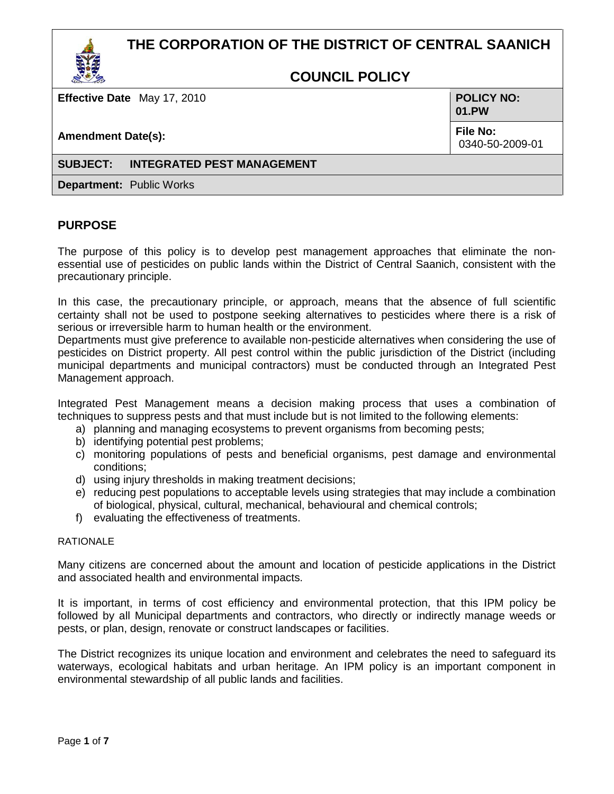# **THE CORPORATION OF THE DISTRICT OF CENTRAL SAANICH**



**Effective Date** May 17, 2010

**Amendment Date(s):**

**POLICY NO: 01.PW**

**File No:** 0340-50-2009-01

#### **SUBJECT: INTEGRATED PEST MANAGEMENT**

**Department:** Public Works

# **PURPOSE**

The purpose of this policy is to develop pest management approaches that eliminate the nonessential use of pesticides on public lands within the District of Central Saanich, consistent with the precautionary principle.

In this case, the precautionary principle, or approach, means that the absence of full scientific certainty shall not be used to postpone seeking alternatives to pesticides where there is a risk of serious or irreversible harm to human health or the environment.

Departments must give preference to available non-pesticide alternatives when considering the use of pesticides on District property. All pest control within the public jurisdiction of the District (including municipal departments and municipal contractors) must be conducted through an Integrated Pest Management approach.

Integrated Pest Management means a decision making process that uses a combination of techniques to suppress pests and that must include but is not limited to the following elements:

- a) planning and managing ecosystems to prevent organisms from becoming pests;
- b) identifying potential pest problems;
- c) monitoring populations of pests and beneficial organisms, pest damage and environmental conditions;
- d) using injury thresholds in making treatment decisions;
- e) reducing pest populations to acceptable levels using strategies that may include a combination of biological, physical, cultural, mechanical, behavioural and chemical controls;
- f) evaluating the effectiveness of treatments.

#### RATIONAL F

Many citizens are concerned about the amount and location of pesticide applications in the District and associated health and environmental impacts.

It is important, in terms of cost efficiency and environmental protection, that this IPM policy be followed by all Municipal departments and contractors, who directly or indirectly manage weeds or pests, or plan, design, renovate or construct landscapes or facilities.

The District recognizes its unique location and environment and celebrates the need to safeguard its waterways, ecological habitats and urban heritage. An IPM policy is an important component in environmental stewardship of all public lands and facilities.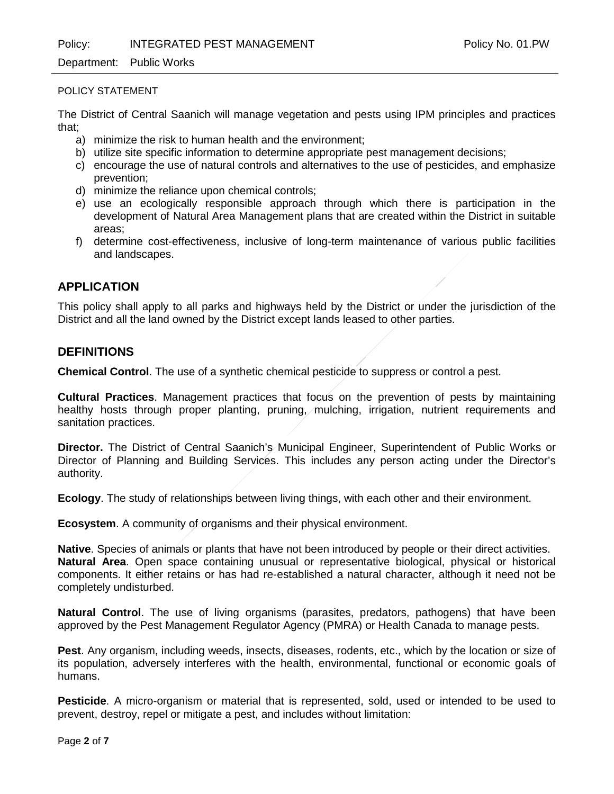Policy: INTEGRATED PEST MANAGEMENT FOLICY NO. 01.PW

#### Department: Public Works

#### POLICY STATEMENT

The District of Central Saanich will manage vegetation and pests using IPM principles and practices that;

- a) minimize the risk to human health and the environment;
- b) utilize site specific information to determine appropriate pest management decisions;
- c) encourage the use of natural controls and alternatives to the use of pesticides, and emphasize prevention;
- d) minimize the reliance upon chemical controls;
- e) use an ecologically responsible approach through which there is participation in the development of Natural Area Management plans that are created within the District in suitable areas;
- f) determine cost-effectiveness, inclusive of long-term maintenance of various public facilities and landscapes.

# **APPLICATION**

This policy shall apply to all parks and highways held by the District or under the jurisdiction of the District and all the land owned by the District except lands leased to other parties.

# **DEFINITIONS**

**Chemical Control**. The use of a synthetic chemical pesticide to suppress or control a pest.

**Cultural Practices**. Management practices that focus on the prevention of pests by maintaining healthy hosts through proper planting, pruning, mulching, irrigation, nutrient requirements and sanitation practices.

**Director.** The District of Central Saanich's Municipal Engineer, Superintendent of Public Works or Director of Planning and Building Services. This includes any person acting under the Director's authority.

**Ecology**. The study of relationships between living things, with each other and their environment.

**Ecosystem**. A community of organisms and their physical environment.

**Native**. Species of animals or plants that have not been introduced by people or their direct activities. **Natural Area**. Open space containing unusual or representative biological, physical or historical components. It either retains or has had re-established a natural character, although it need not be completely undisturbed.

**Natural Control**. The use of living organisms (parasites, predators, pathogens) that have been approved by the Pest Management Regulator Agency (PMRA) or Health Canada to manage pests.

**Pest**. Any organism, including weeds, insects, diseases, rodents, etc., which by the location or size of its population, adversely interferes with the health, environmental, functional or economic goals of humans.

**Pesticide**. A micro-organism or material that is represented, sold, used or intended to be used to prevent, destroy, repel or mitigate a pest, and includes without limitation: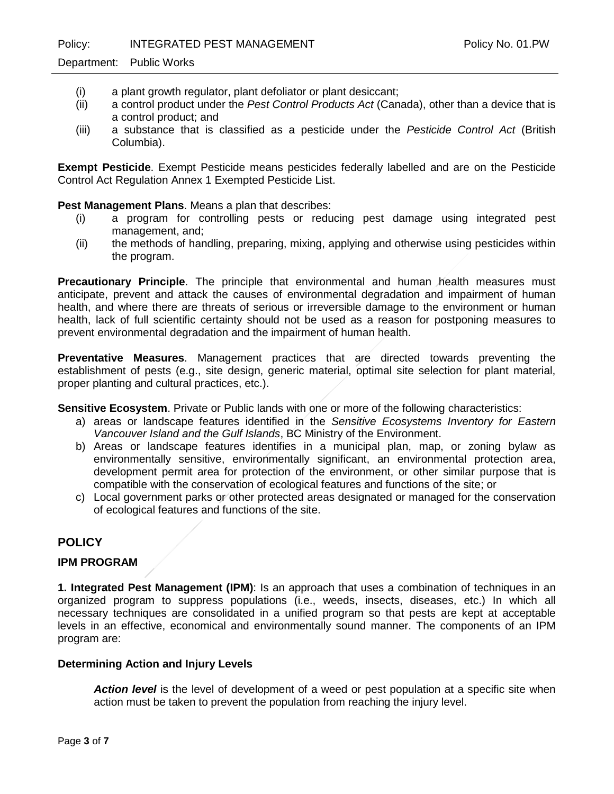- (i) a plant growth regulator, plant defoliator or plant desiccant;
- (ii) a control product under the *Pest Control Products Act* (Canada), other than a device that is a control product; and
- (iii) a substance that is classified as a pesticide under the *Pesticide Control Act* (British Columbia).

**Exempt Pesticide**. Exempt Pesticide means pesticides federally labelled and are on the Pesticide Control Act Regulation Annex 1 Exempted Pesticide List.

### **Pest Management Plans**. Means a plan that describes:

- (i) a program for controlling pests or reducing pest damage using integrated pest management, and;
- (ii) the methods of handling, preparing, mixing, applying and otherwise using pesticides within the program.

**Precautionary Principle**. The principle that environmental and human health measures must anticipate, prevent and attack the causes of environmental degradation and impairment of human health, and where there are threats of serious or irreversible damage to the environment or human health, lack of full scientific certainty should not be used as a reason for postponing measures to prevent environmental degradation and the impairment of human health.

**Preventative Measures**. Management practices that are directed towards preventing the establishment of pests (e.g., site design, generic material, optimal site selection for plant material, proper planting and cultural practices, etc.).

**Sensitive Ecosystem**. Private or Public lands with one or more of the following characteristics:

- a) areas or landscape features identified in the *Sensitive Ecosystems Inventory for Eastern Vancouver Island and the Gulf Islands*, BC Ministry of the Environment.
- b) Areas or landscape features identifies in a municipal plan, map, or zoning bylaw as environmentally sensitive, environmentally significant, an environmental protection area, development permit area for protection of the environment, or other similar purpose that is compatible with the conservation of ecological features and functions of the site; or
- c) Local government parks or other protected areas designated or managed for the conservation of ecological features and functions of the site.

# **POLICY**

### **IPM PROGRAM**

**1. Integrated Pest Management (IPM)**: Is an approach that uses a combination of techniques in an organized program to suppress populations (i.e., weeds, insects, diseases, etc.) In which all necessary techniques are consolidated in a unified program so that pests are kept at acceptable levels in an effective, economical and environmentally sound manner. The components of an IPM program are:

#### **Determining Action and Injury Levels**

*Action level* is the level of development of a weed or pest population at a specific site when action must be taken to prevent the population from reaching the injury level.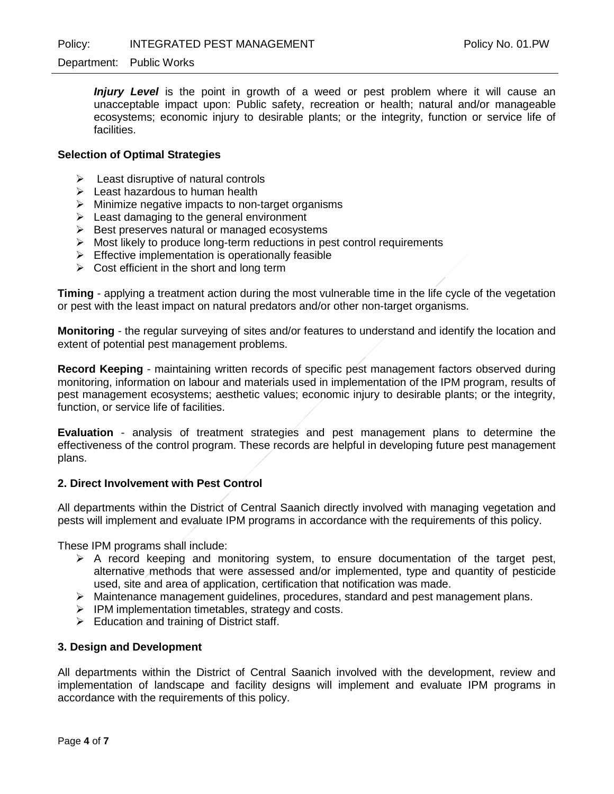*Injury Level* is the point in growth of a weed or pest problem where it will cause an unacceptable impact upon: Public safety, recreation or health; natural and/or manageable ecosystems; economic injury to desirable plants; or the integrity, function or service life of facilities.

#### **Selection of Optimal Strategies**

- $\triangleright$  Least disruptive of natural controls
- $\triangleright$  Least hazardous to human health
- $\triangleright$  Minimize negative impacts to non-target organisms
- $\triangleright$  Least damaging to the general environment
- $\triangleright$  Best preserves natural or managed ecosystems
- $\triangleright$  Most likely to produce long-term reductions in pest control requirements
- $\triangleright$  Effective implementation is operationally feasible
- $\triangleright$  Cost efficient in the short and long term

**Timing** - applying a treatment action during the most vulnerable time in the life cycle of the vegetation or pest with the least impact on natural predators and/or other non-target organisms.

**Monitoring** - the regular surveying of sites and/or features to understand and identify the location and extent of potential pest management problems.

**Record Keeping** - maintaining written records of specific pest management factors observed during monitoring, information on labour and materials used in implementation of the IPM program, results of pest management ecosystems; aesthetic values; economic injury to desirable plants; or the integrity, function, or service life of facilities.

**Evaluation** - analysis of treatment strategies and pest management plans to determine the effectiveness of the control program. These records are helpful in developing future pest management plans.

#### **2. Direct Involvement with Pest Control**

All departments within the District of Central Saanich directly involved with managing vegetation and pests will implement and evaluate IPM programs in accordance with the requirements of this policy.

These IPM programs shall include:

- $\triangleright$  A record keeping and monitoring system, to ensure documentation of the target pest, alternative methods that were assessed and/or implemented, type and quantity of pesticide used, site and area of application, certification that notification was made.
- $\triangleright$  Maintenance management quidelines, procedures, standard and pest management plans.
- $\triangleright$  IPM implementation timetables, strategy and costs.
- $\triangleright$  Education and training of District staff.

#### **3. Design and Development**

All departments within the District of Central Saanich involved with the development, review and implementation of landscape and facility designs will implement and evaluate IPM programs in accordance with the requirements of this policy.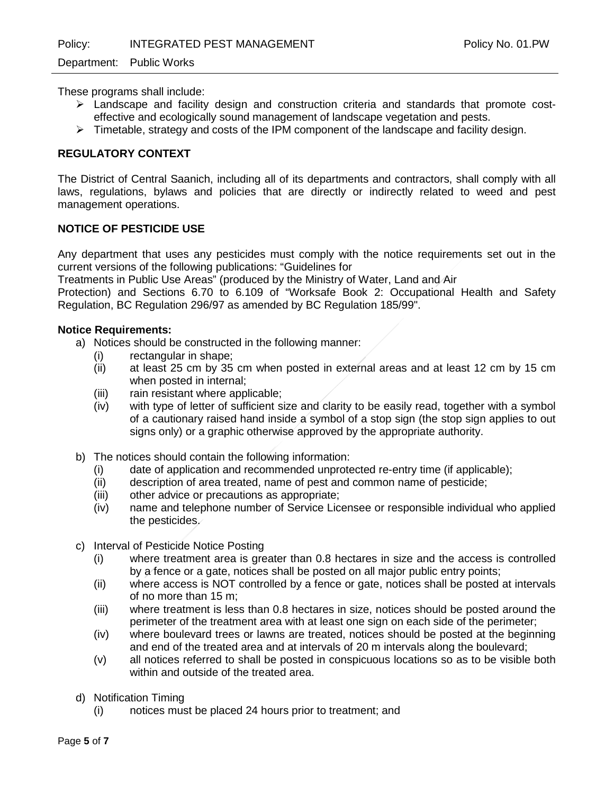These programs shall include:

- Landscape and facility design and construction criteria and standards that promote costeffective and ecologically sound management of landscape vegetation and pests.
- $\triangleright$  Timetable, strategy and costs of the IPM component of the landscape and facility design.

### **REGULATORY CONTEXT**

The District of Central Saanich, including all of its departments and contractors, shall comply with all laws, regulations, bylaws and policies that are directly or indirectly related to weed and pest management operations.

#### **NOTICE OF PESTICIDE USE**

Any department that uses any pesticides must comply with the notice requirements set out in the current versions of the following publications: "Guidelines for

Treatments in Public Use Areas" (produced by the Ministry of Water, Land and Air

Protection) and Sections 6.70 to 6.109 of "Worksafe Book 2: Occupational Health and Safety Regulation, BC Regulation 296/97 as amended by BC Regulation 185/99".

#### **Notice Requirements:**

- a) Notices should be constructed in the following manner:
	- (i) rectangular in shape;
	- (ii) at least 25 cm by 35 cm when posted in external areas and at least 12 cm by 15 cm when posted in internal;
	- (iii) rain resistant where applicable;
	- (iv) with type of letter of sufficient size and clarity to be easily read, together with a symbol of a cautionary raised hand inside a symbol of a stop sign (the stop sign applies to out signs only) or a graphic otherwise approved by the appropriate authority.
- b) The notices should contain the following information:
	- (i) date of application and recommended unprotected re-entry time (if applicable);
	- (ii) description of area treated, name of pest and common name of pesticide;
	- (iii) other advice or precautions as appropriate;<br>(iv) name and telephone number of Service Lic
	- hame and telephone number of Service Licensee or responsible individual who applied the pesticides.
- c) Interval of Pesticide Notice Posting
	- (i) where treatment area is greater than 0.8 hectares in size and the access is controlled by a fence or a gate, notices shall be posted on all major public entry points;
	- (ii) where access is NOT controlled by a fence or gate, notices shall be posted at intervals of no more than 15 m;
	- (iii) where treatment is less than 0.8 hectares in size, notices should be posted around the perimeter of the treatment area with at least one sign on each side of the perimeter;
	- (iv) where boulevard trees or lawns are treated, notices should be posted at the beginning and end of the treated area and at intervals of 20 m intervals along the boulevard;
	- (v) all notices referred to shall be posted in conspicuous locations so as to be visible both within and outside of the treated area.
- d) Notification Timing
	- (i) notices must be placed 24 hours prior to treatment; and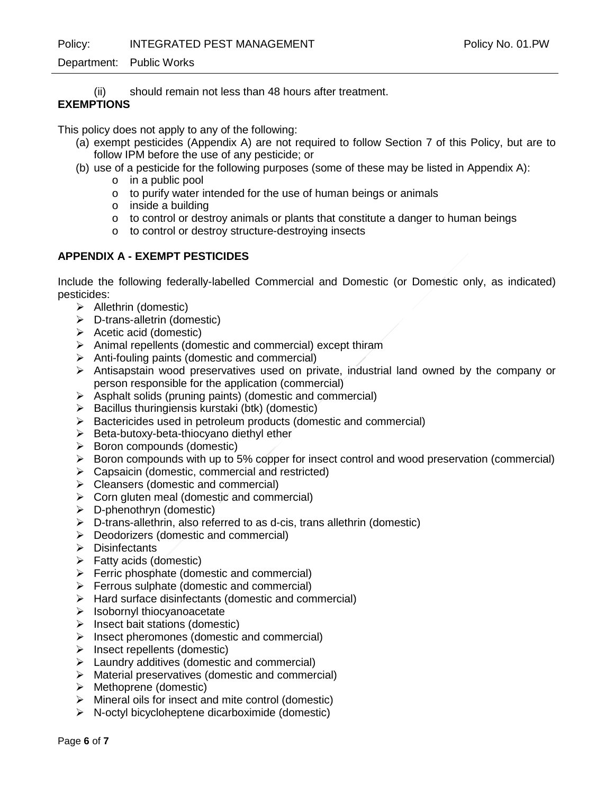Policy: INTEGRATED PEST MANAGEMENT FOLICY NO. 01.PW

### Department: Public Works

(ii) should remain not less than 48 hours after treatment.

# **EXEMPTIONS**

This policy does not apply to any of the following:

- (a) exempt pesticides (Appendix A) are not required to follow Section 7 of this Policy, but are to follow IPM before the use of any pesticide; or
- (b) use of a pesticide for the following purposes (some of these may be listed in Appendix A):
	- o in a public pool
	- o to purify water intended for the use of human beings or animals
	- o inside a building
	- $\circ$  to control or destroy animals or plants that constitute a danger to human beings
	- o to control or destroy structure-destroying insects

# **APPENDIX A - EXEMPT PESTICIDES**

Include the following federally-labelled Commercial and Domestic (or Domestic only, as indicated) pesticides:

- $\triangleright$  Allethrin (domestic)
- $\triangleright$  D-trans-alletrin (domestic)
- $\triangleright$  Acetic acid (domestic)
- $\triangleright$  Animal repellents (domestic and commercial) except thiram
- $\triangleright$  Anti-fouling paints (domestic and commercial)
- $\triangleright$  Antisapstain wood preservatives used on private, industrial land owned by the company or person responsible for the application (commercial)
- $\triangleright$  Asphalt solids (pruning paints) (domestic and commercial)
- $\triangleright$  Bacillus thuringiensis kurstaki (btk) (domestic)
- $\triangleright$  Bactericides used in petroleum products (domestic and commercial)
- $\triangleright$  Beta-butoxy-beta-thiocyano diethyl ether
- $\triangleright$  Boron compounds (domestic)
- $\triangleright$  Boron compounds with up to 5% copper for insect control and wood preservation (commercial)
- $\triangleright$  Capsaicin (domestic, commercial and restricted)
- $\triangleright$  Cleansers (domestic and commercial)
- $\triangleright$  Corn gluten meal (domestic and commercial)
- $\triangleright$  D-phenothryn (domestic)
- $\triangleright$  D-trans-allethrin, also referred to as d-cis, trans allethrin (domestic)
- $\triangleright$  Deodorizers (domestic and commercial)
- $\triangleright$  Disinfectants
- $\triangleright$  Fatty acids (domestic)
- $\triangleright$  Ferric phosphate (domestic and commercial)
- $\triangleright$  Ferrous sulphate (domestic and commercial)
- $\triangleright$  Hard surface disinfectants (domestic and commercial)
- $\triangleright$  Isobornyl thiocyanoacetate
- $\triangleright$  Insect bait stations (domestic)
- $\triangleright$  Insect pheromones (domestic and commercial)
- $\triangleright$  Insect repellents (domestic)
- $\triangleright$  Laundry additives (domestic and commercial)
- $\triangleright$  Material preservatives (domestic and commercial)
- Methoprene (domestic)
- $\triangleright$  Mineral oils for insect and mite control (domestic)
- $\triangleright$  N-octyl bicycloheptene dicarboximide (domestic)